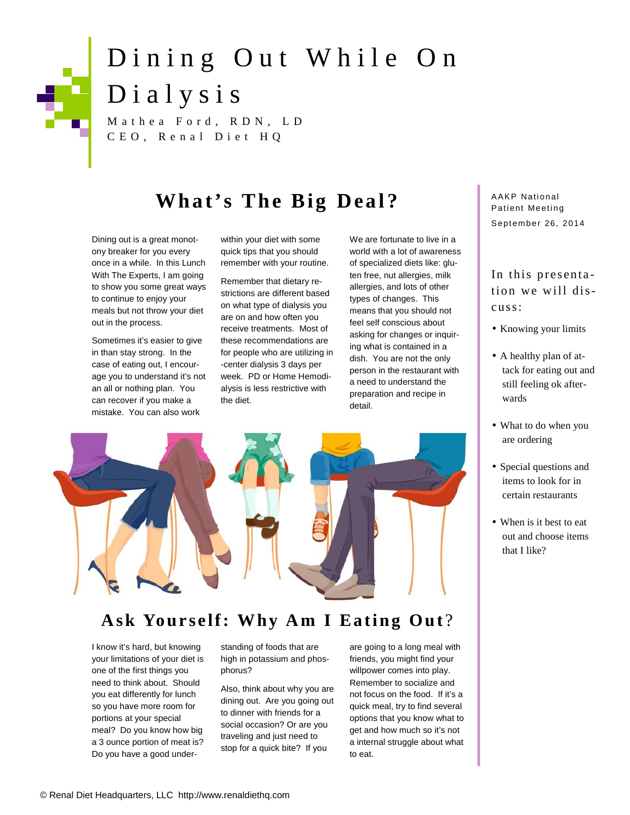# Dining Out While On<br>Dialysis Dining Out Whi<br>Dialysis<br>Mathea Ford, RDN, LD<br>CEO, Renal Diet HQ **a** Ford, RDN, LD<br>Renal Diet HQ<br>**What's The Big Deal?**<br>weat monot-vithin your diet with some We are fortunate to live in a Dialysis<br>Mathea Ford, RDN, LD<br>CEO, Renal Diet HQ

Dining out is a great monotony breaker for you every once in a while. In this Lunch With The Experts, I am going to show you some great ways to continue to enjoy your meals but not throw your diet out in the process.

Sometimes it's easier to give in than stay strong. In the case of eating out, I encourage you to understand it's not an all or nothing plan. You can recover if you make a mistake. You can also work

within your diet with some quick tips that you should remember with your routine.

Remember that dietary restrictions are different based on what type of dialysis you are on and how often you receive treatments. Most of these recommendations are for people who are utilizing in -center dialysis 3 days per week. PD or Home Hemodialysis is less restrictive with the diet.

We are fortunate to live in a world with a lot of awareness of specialized diets like: gluten free, nut allergies, milk allergies, and lots of other types of changes. This means that you should not feel self conscious about asking for changes or inquiring what is contained in a dish. You are not the only person in the restaurant with a need to understand the preparation and recipe in detail.



### Ask Yourself: Why Am I Eating Out?

I know it's hard, but knowing your limitations of your diet is one of the first things you need to think about. Should you eat differently for lunch so you have more room for portions at your special meal? Do you know how big a 3 ounce portion of meat is? Do you have a good understanding of foods that are high in potassium and phosphorus?

Also, think about why you are dining out. Are you going out to dinner with friends for a social occasion? Or are you traveling and just need to stop for a quick bite? If you

are going to a long meal with friends, you might find your willpower comes into play. Remember to socialize and not focus on the food. If it's a quick meal, try to find several options that you know what to get and how much so it's not a internal struggle about what to eat.

AAKP National<br>Patient Meeting<br>September 26, 2014 A AKP National September 26, 2014

## Patient Meeting<br>September 26, 2014<br>In this presenta-<br>tion we will distion we will discuss:

- Knowing your limits
- A healthy plan of attack for eating out and still feeling ok afterwards
- What to do when you are ordering
- Special questions and items to look for in certain restaurants
- When is it best to eat out and choose items that I like?